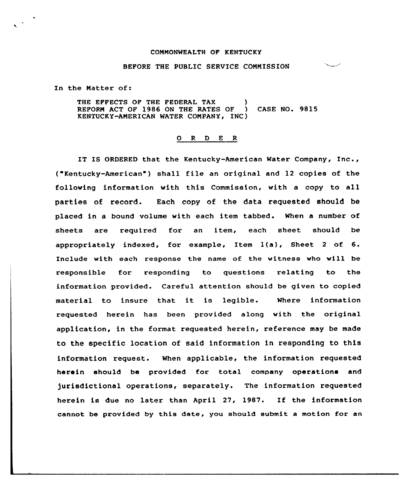## COMMONWEALTH OF KENTUCKY

## BEFORE THE PUBLIC SERUICE COMMISSION

In the Matter of:

THE EFFECTS OF THE FEDERAL TAX (1) REPORM ACT OF 1986 ON THE RATES OF ) CASE NO. 9815 KENTUCKY-AMERICAN WATER COMPANY, INC)

## 0 R <sup>D</sup> E <sup>R</sup>

IT IS ORDERED that the Kentucky-American Water Company, Inc., ("Kentucky-American") shall file an original and 12 copies of the following information with this Commission, with a copy to all parties of record. Each copy of the data requested should be placed in a bound volume with each item tabbed. When a number of sheets are required for an item, each sheet should be appropriately indexed, for example, Item l(a), Sheet <sup>2</sup> of 6. Include with each response the name of the witness who will be responsible for responding to questions relating to the information provided. Careful attention should be given to copied material to insure that it is legible. Where information requested herein has been provided along with the original application, in the format requested herein, reference may be made to the specific location of said information in responding to this information xequest. When applicable, the information xequested herein should be provided for total company operations and )urisdictional operations, separately. The information requested herein is due no later than April 27, 1987. If the information cannot be provided by this date, you should submit a motion for an